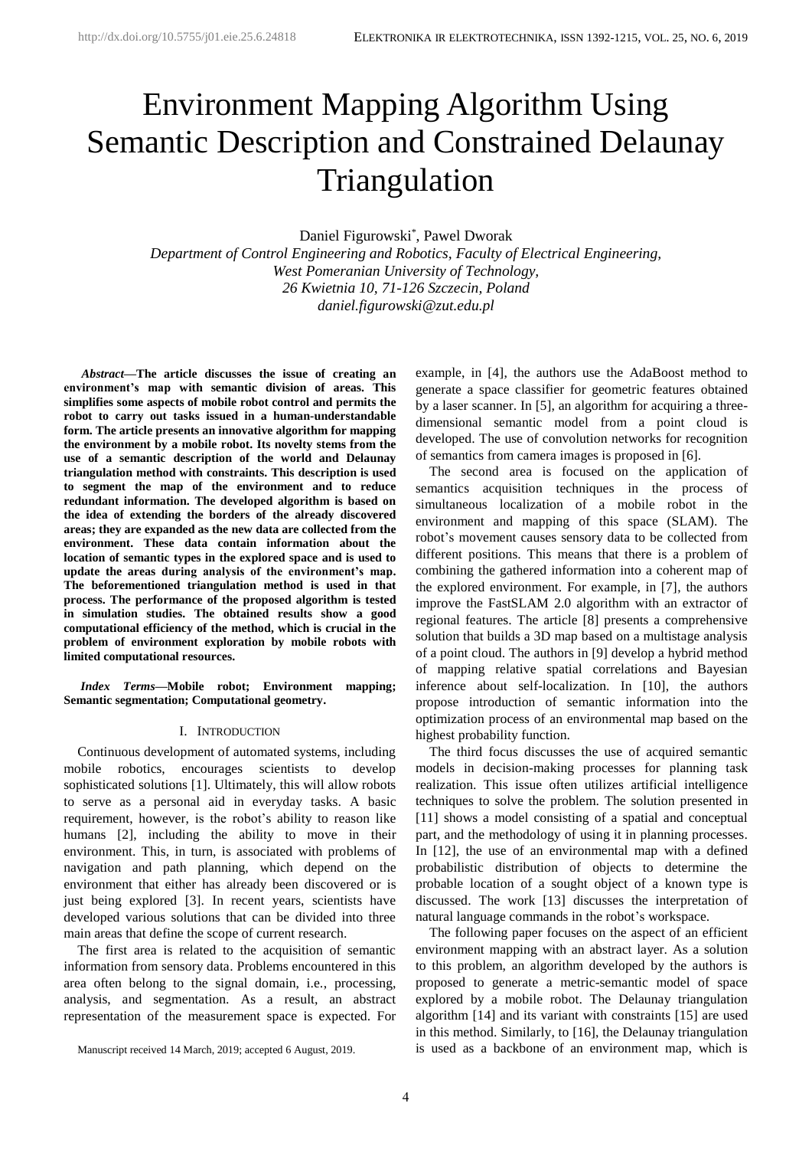# Environment Mapping Algorithm Using Semantic Description and Constrained Delaunay Triangulation

Daniel Figurowski\* , Pawel Dworak

*Department of Control Engineering and Robotics, Faculty of Electrical Engineering, West Pomeranian University of Technology, 26 Kwietnia 10, 71-126 Szczecin, Poland daniel.figurowski@zut.edu.pl*

*<sup>1</sup>Abstract***—The article discusses the issue of creating an environment's map with semantic division of areas. This simplifies some aspects of mobile robot control and permits the robot to carry out tasks issued in a human-understandable form. The article presents an innovative algorithm for mapping the environment by a mobile robot. Its novelty stems from the use of a semantic description of the world and Delaunay triangulation method with constraints. This description is used to segment the map of the environment and to reduce redundant information. The developed algorithm is based on the idea of extending the borders of the already discovered areas; they are expanded as the new data are collected from the environment. These data contain information about the location of semantic types in the explored space and is used to update the areas during analysis of the environment's map. The beforementioned triangulation method is used in that process. The performance of the proposed algorithm is tested in simulation studies. The obtained results show a good computational efficiency of the method, which is crucial in the problem of environment exploration by mobile robots with limited computational resources.**

*Index Terms***—Mobile robot; Environment mapping; Semantic segmentation; Computational geometry.**

### I. INTRODUCTION

Continuous development of automated systems, including mobile robotics, encourages scientists to develop sophisticated solutions [1]. Ultimately, this will allow robots to serve as a personal aid in everyday tasks. A basic requirement, however, is the robot's ability to reason like humans [2], including the ability to move in their environment. This, in turn, is associated with problems of navigation and path planning, which depend on the environment that either has already been discovered or is just being explored [3]. In recent years, scientists have developed various solutions that can be divided into three main areas that define the scope of current research.

The first area is related to the acquisition of semantic information from sensory data. Problems encountered in this area often belong to the signal domain, i.e., processing, analysis, and segmentation. As a result, an abstract representation of the measurement space is expected. For

Manuscript received 14 March, 2019; accepted 6 August, 2019.

example, in [4], the authors use the AdaBoost method to generate a space classifier for geometric features obtained by a laser scanner. In [5], an algorithm for acquiring a threedimensional semantic model from a point cloud is developed. The use of convolution networks for recognition of semantics from camera images is proposed in [6].

The second area is focused on the application of semantics acquisition techniques in the process of simultaneous localization of a mobile robot in the environment and mapping of this space (SLAM). The robot's movement causes sensory data to be collected from different positions. This means that there is a problem of combining the gathered information into a coherent map of the explored environment. For example, in [7], the authors improve the FastSLAM 2.0 algorithm with an extractor of regional features. The article [8] presents a comprehensive solution that builds a 3D map based on a multistage analysis of a point cloud. The authors in [9] develop a hybrid method of mapping relative spatial correlations and Bayesian inference about self-localization. In [10], the authors propose introduction of semantic information into the optimization process of an environmental map based on the highest probability function.

The third focus discusses the use of acquired semantic models in decision-making processes for planning task realization. This issue often utilizes artificial intelligence techniques to solve the problem. The solution presented in [11] shows a model consisting of a spatial and conceptual part, and the methodology of using it in planning processes. In [12], the use of an environmental map with a defined probabilistic distribution of objects to determine the probable location of a sought object of a known type is discussed. The work [13] discusses the interpretation of natural language commands in the robot's workspace.

The following paper focuses on the aspect of an efficient environment mapping with an abstract layer. As a solution to this problem, an algorithm developed by the authors is proposed to generate a metric-semantic model of space explored by a mobile robot. The Delaunay triangulation algorithm [14] and its variant with constraints [15] are used in this method. Similarly, to [16], the Delaunay triangulation is used as a backbone of an environment map, which is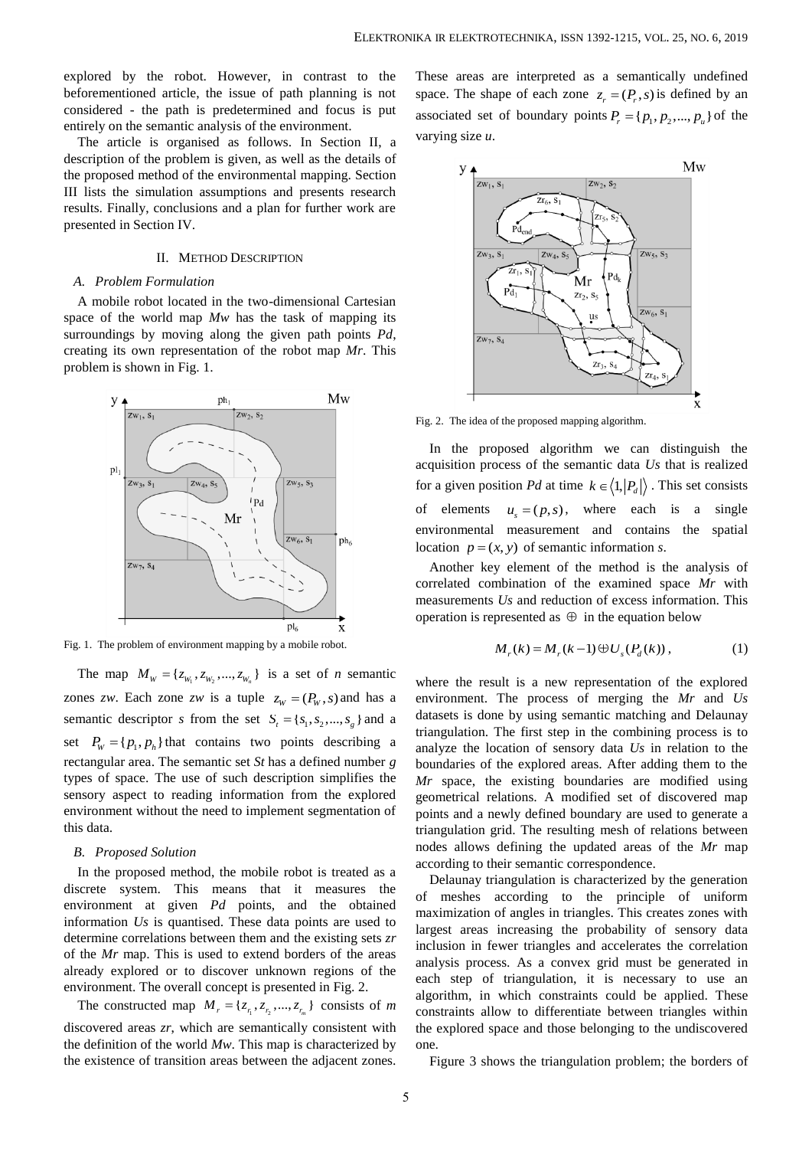explored by the robot. However, in contrast to the beforementioned article, the issue of path planning is not considered - the path is predetermined and focus is put entirely on the semantic analysis of the environment.

The article is organised as follows. In Section II, a description of the problem is given, as well as the details of the proposed method of the environmental mapping. Section III lists the simulation assumptions and presents research results. Finally, conclusions and a plan for further work are presented in Section IV.

### II. METHOD DESCRIPTION

#### *A. Problem Formulation*

A mobile robot located in the two-dimensional Cartesian space of the world map *Mw* has the task of mapping its surroundings by moving along the given path points *Pd*, creating its own representation of the robot map *Mr*. This problem is shown in Fig. 1.



Fig. 1. The problem of environment mapping by a mobile robot.

The map  $M_w = \{z_{w_1}, z_{w_2}, ..., z_{w_n}\}\$  is a set of *n* semantic zones *zw*. Each zone *zw* is a tuple  $z_w = (P_w, s)$  and has a semantic descriptor *s* from the set  $S_t = \{s_1, s_2, ..., s_g\}$  and a set  $P_w = \{p_1, p_h\}$  that contains two points describing a rectangular area. The semantic set *St* has a defined number *g* types of space. The use of such description simplifies the sensory aspect to reading information from the explored environment without the need to implement segmentation of this data.

#### *B. Proposed Solution*

In the proposed method, the mobile robot is treated as a discrete system. This means that it measures the environment at given *Pd* points, and the obtained information *Us* is quantised. These data points are used to determine correlations between them and the existing sets *zr* of the *Mr* map. This is used to extend borders of the areas already explored or to discover unknown regions of the environment. The overall concept is presented in Fig. 2.

The constructed map  $M_r = \{z_{r_1}, z_{r_2}, ..., z_{r_m}\}\)$  consists of *m* discovered areas *zr*, which are semantically consistent with the definition of the world *Mw*. This map is characterized by the existence of transition areas between the adjacent zones.

These areas are interpreted as a semantically undefined space. The shape of each zone  $z_r = (P_r, s)$  is defined by an associated set of boundary points  $P_r = \{p_1, p_2, ..., p_u\}$  of the varying size *u*.



Fig. 2. The idea of the proposed mapping algorithm.

In the proposed algorithm we can distinguish the acquisition process of the semantic data *Us* that is realized for a given position Pd at time  $k \in \langle 1, |P_d| \rangle$ . This set consists of elements  $u_s = (p, s)$ , where each is a single environmental measurement and contains the spatial location  $p = (x, y)$  of semantic information *s*.

Another key element of the method is the analysis of correlated combination of the examined space *Mr* with measurements *Us* and reduction of excess information. This operation is represented as  $\oplus$  in the equation below

$$
M_r(k) = M_r(k-1) \oplus U_s(P_d(k)),
$$
 (1)

where the result is a new representation of the explored environment. The process of merging the *Mr* and *Us* datasets is done by using semantic matching and Delaunay triangulation. The first step in the combining process is to analyze the location of sensory data *Us* in relation to the boundaries of the explored areas. After adding them to the *Mr* space, the existing boundaries are modified using geometrical relations. A modified set of discovered map points and a newly defined boundary are used to generate a triangulation grid. The resulting mesh of relations between nodes allows defining the updated areas of the *Mr* map according to their semantic correspondence.

Delaunay triangulation is characterized by the generation of meshes according to the principle of uniform maximization of angles in triangles. This creates zones with largest areas increasing the probability of sensory data inclusion in fewer triangles and accelerates the correlation analysis process. As a convex grid must be generated in each step of triangulation, it is necessary to use an algorithm, in which constraints could be applied. These constraints allow to differentiate between triangles within the explored space and those belonging to the undiscovered one.

Figure 3 shows the triangulation problem; the borders of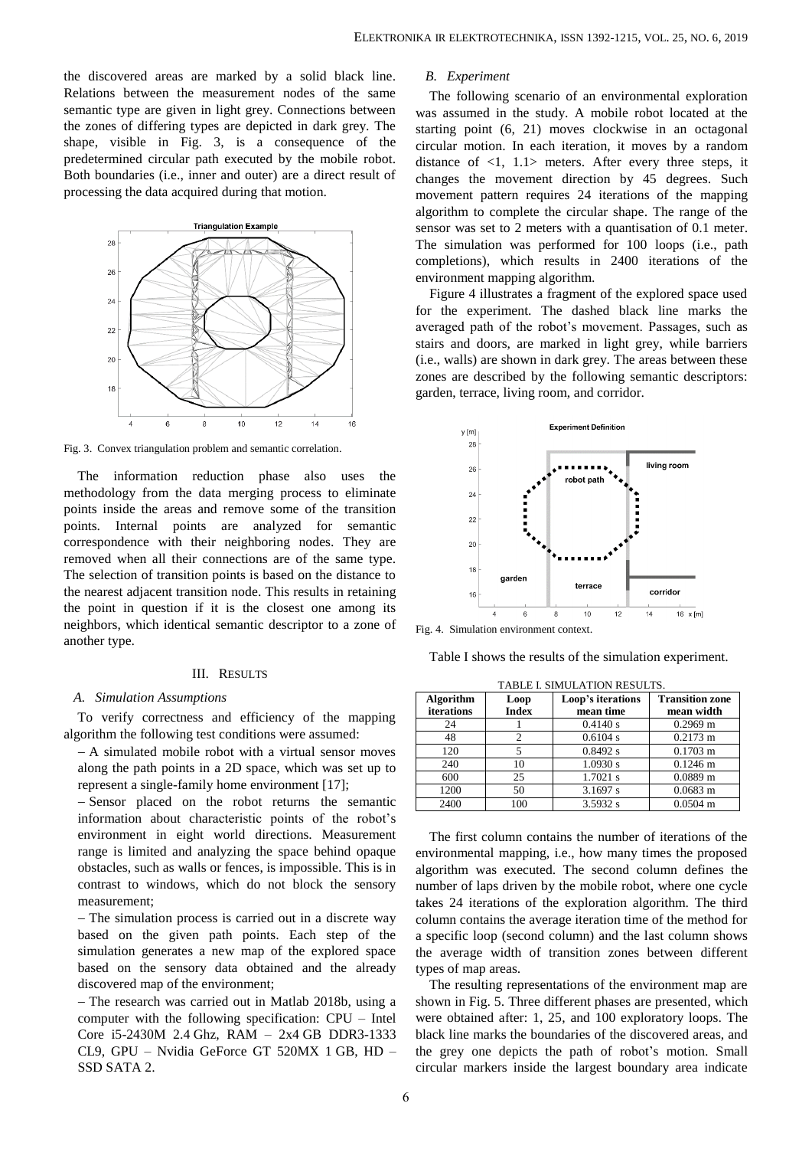the discovered areas are marked by a solid black line. Relations between the measurement nodes of the same semantic type are given in light grey. Connections between the zones of differing types are depicted in dark grey. The shape, visible in Fig. 3, is a consequence of the predetermined circular path executed by the mobile robot. Both boundaries (i.e., inner and outer) are a direct result of processing the data acquired during that motion.



Fig. 3. Convex triangulation problem and semantic correlation.

The information reduction phase also uses the methodology from the data merging process to eliminate points inside the areas and remove some of the transition points. Internal points are analyzed for semantic correspondence with their neighboring nodes. They are removed when all their connections are of the same type. The selection of transition points is based on the distance to the nearest adjacent transition node. This results in retaining the point in question if it is the closest one among its neighbors, which identical semantic descriptor to a zone of another type.

#### III. RESULTS

#### *A. Simulation Assumptions*

To verify correctness and efficiency of the mapping algorithm the following test conditions were assumed:

 A simulated mobile robot with a virtual sensor moves along the path points in a 2D space, which was set up to represent a single-family home environment [17];

- Sensor placed on the robot returns the semantic information about characteristic points of the robot's environment in eight world directions. Measurement range is limited and analyzing the space behind opaque obstacles, such as walls or fences, is impossible. This is in contrast to windows, which do not block the sensory measurement;

- The simulation process is carried out in a discrete way based on the given path points. Each step of the simulation generates a new map of the explored space based on the sensory data obtained and the already discovered map of the environment;

- The research was carried out in Matlab 2018b, using a computer with the following specification: CPU – Intel Core i5-2430M 2.4 Ghz, RAM – 2x4 GB DDR3-1333 CL9, GPU – Nvidia GeForce GT 520MX 1 GB, HD – SSD SATA 2.

## *B. Experiment*

The following scenario of an environmental exploration was assumed in the study. A mobile robot located at the starting point (6, 21) moves clockwise in an octagonal circular motion. In each iteration, it moves by a random distance of <1, 1.1> meters. After every three steps, it changes the movement direction by 45 degrees. Such movement pattern requires 24 iterations of the mapping algorithm to complete the circular shape. The range of the sensor was set to 2 meters with a quantisation of 0.1 meter. The simulation was performed for 100 loops (i.e., path completions), which results in 2400 iterations of the environment mapping algorithm.

Figure 4 illustrates a fragment of the explored space used for the experiment. The dashed black line marks the averaged path of the robot's movement. Passages, such as stairs and doors, are marked in light grey, while barriers (i.e., walls) are shown in dark grey. The areas between these zones are described by the following semantic descriptors: garden, terrace, living room, and corridor.



Fig. 4. Simulation environment context.

Table I shows the results of the simulation experiment.

TABLE I. SIMULATION RESULTS.

| <b>Algorithm</b>  | Loop         | Loop's iterations | <b>Transition zone</b> |
|-------------------|--------------|-------------------|------------------------|
| <b>iterations</b> | <b>Index</b> | mean time         | mean width             |
| 24                |              | 0.4140 s          | $0.2969$ m             |
| 48                | 2            | 0.6104 s          | $0.2173 \text{ m}$     |
| 120               | 5            | 0.8492 s          | $0.1703 \text{ m}$     |
| 240               | 10           | 1.0930 s          | $0.1246 \text{ m}$     |
| 600               | 25           | $1.7021$ s        | $0.0889$ m             |
| 1200              | 50           | 3.1697 s          | $0.0683 \; \mathrm{m}$ |
| 2400              | 100          | 3.5932 s          | $0.0504 \; \mathrm{m}$ |

The first column contains the number of iterations of the environmental mapping, i.e., how many times the proposed algorithm was executed. The second column defines the number of laps driven by the mobile robot, where one cycle takes 24 iterations of the exploration algorithm. The third column contains the average iteration time of the method for a specific loop (second column) and the last column shows the average width of transition zones between different types of map areas.

The resulting representations of the environment map are shown in Fig. 5. Three different phases are presented, which were obtained after: 1, 25, and 100 exploratory loops. The black line marks the boundaries of the discovered areas, and the grey one depicts the path of robot's motion. Small circular markers inside the largest boundary area indicate